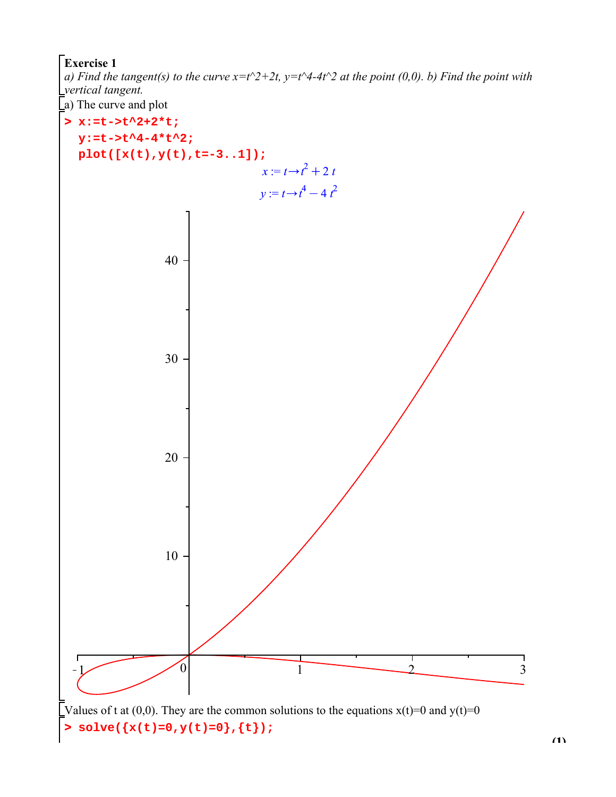## **Exercise 1**

*a)* Find the tangent(s) to the curve  $x=t^2+2t$ ,  $y=t^4-4t^2$  at the point (0,0). b) Find the point with *vertical tangent.* 

a) The curve and plot

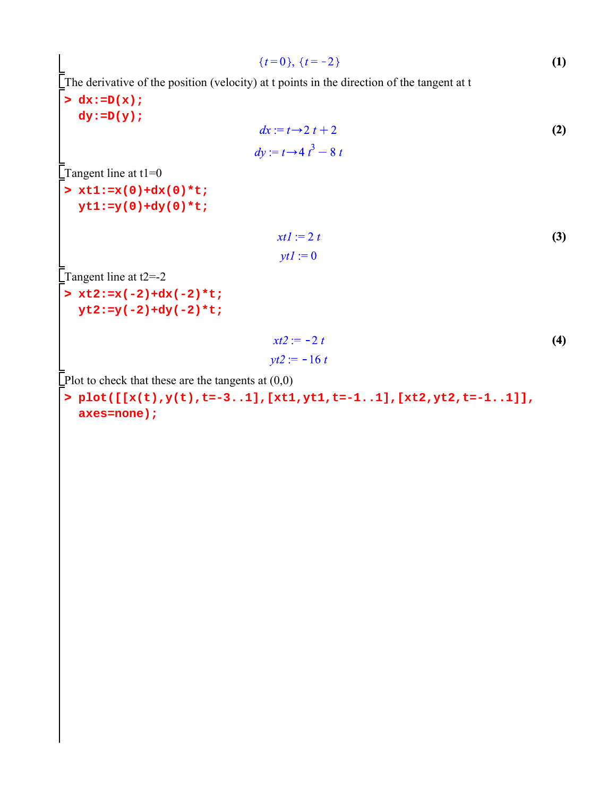$$
\{t=0\},\ \{t=-2\}
$$
 (1)

The derivative of the position (velocity) at t points in the direction of the tangent at t

**> dx:=D(x); dy:=D(y);**  $dx := t \rightarrow 2 t + 2$ **(2)**  $dy := t \rightarrow 4t^3 - 8t$ Tangent line at  $t1=0$ **> xt1:=x(0)+dx(0)\*t; yt1:=y(0)+dy(0)\*t;**  $xt1 := 2 t$ **(3)**  $ytl := 0$ Tangent line at  $t2=2$ **> xt2:=x(-2)+dx(-2)\*t; yt2:=y(-2)+dy(-2)\*t;**  $xt2 := -2 t$ **(4)**  $vt2 := -16 t$ Plot to check that these are the tangents at  $(0,0)$ **> plot([[x(t),y(t),t=-3..1],[xt1,yt1,t=-1..1],[xt2,yt2,t=-1..1]],**

**axes=none);**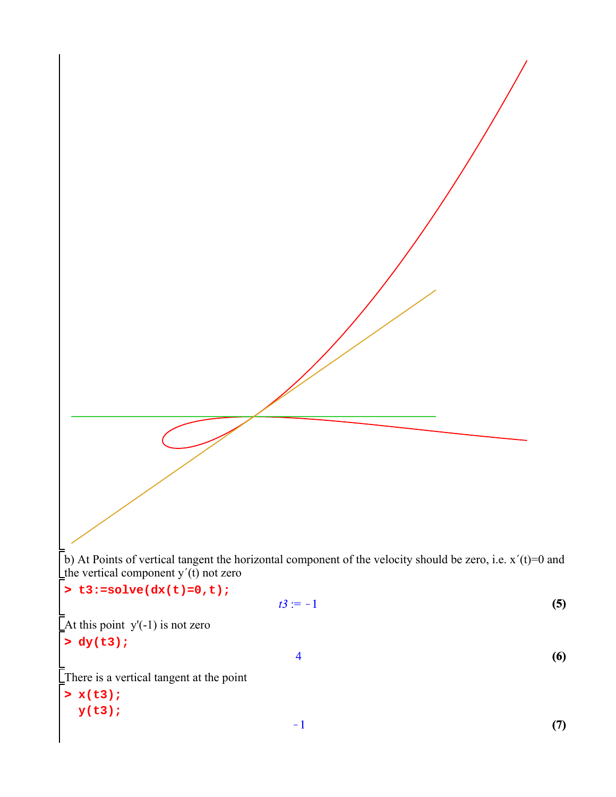b) At Points of vertical tangent the horizontal component of the velocity should be zero, i.e. x´(t)=0 and the vertical component y´(t) not zero

 $\overline{4}$ 

 $-1$ 

$$
> t3:=solve(dx(t)=0,t);
$$

$$
t3:=-1
$$
 (5)

 $\Box$  At this point y'(-1) is not zero

**> dy(t3);**

 $\sum$ There is a vertical tangent at the point

**> x(t3); y(t3);**

**(7)**

**(6)**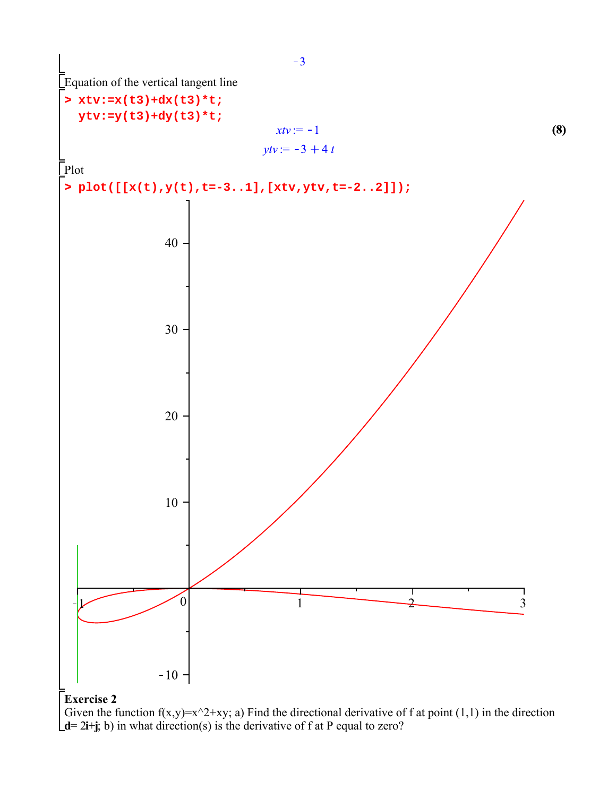

 $\mathbf{d} = 2\mathbf{i} + \mathbf{j}$ ; b) in what direction(s) is the derivative of f at P equal to zero?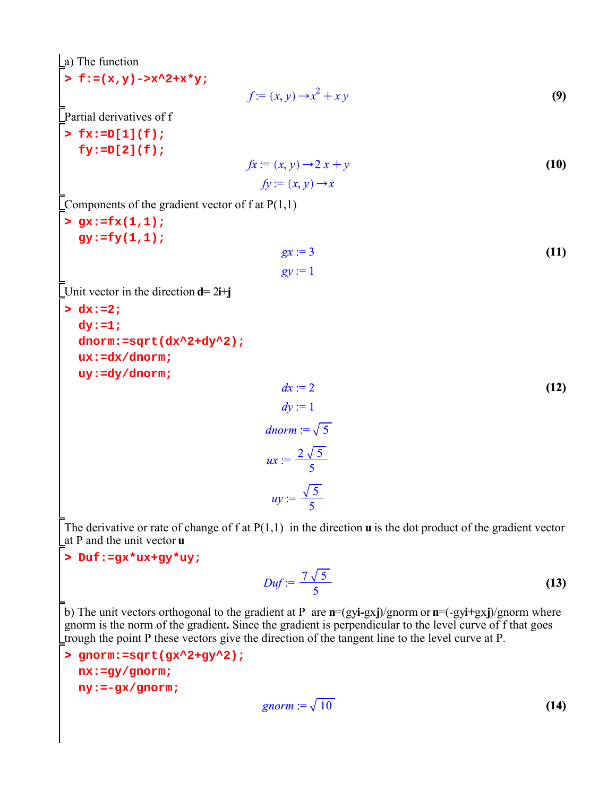$$
\begin{array}{ll}\n\text{a)} \text{ The function} \\
\text{= } \mathbf{f} : = (\mathbf{x}, \mathbf{y}) - \mathbf{x}^2 + \mathbf{x}^2 \mathbf{y} \\
\text{=} & f := (\mathbf{x}, y) \rightarrow x^2 + xy \\
\text{=} & \text{Partial derivatives of } f \\
\text{= } \mathbf{f} : \mathbf{x} : = \mathbf{D}[\mathbf{1}](\mathbf{f}); \\
\mathbf{f} \mathbf{y} : = \mathbf{D}[\mathbf{2}](\mathbf{f}); \\
\mathbf{f} \mathbf{y} : = \mathbf{D}[\mathbf{2}](\mathbf{f}); \\
\mathbf{f} \mathbf{y} : = (\mathbf{x}, y) \rightarrow 2x + y \\
\mathbf{y} : = (\mathbf{x}, y) \rightarrow x \\
\text{=} & \text{Components of the gradient vector of } f \text{ at } P(1,1) \\
\text{= } & \mathbf{g} : = \mathbf{f} \mathbf{x}(\mathbf{1}, \mathbf{1}); \\
\mathbf{g} : = \mathbf{f} \mathbf{y}(\mathbf{1}, \mathbf{1}); \\
\mathbf{g} : = 3 \\
\text{= } & \mathbf{g} : = 1 \\
\text{= } & \mathbf{g} : = 1 \\
\text{and form: } = \mathbf{g} \mathbf{g} \mathbf{t} (\mathbf{dx}^2 + \mathbf{dy}^2); \\
\text{and } \mathbf{g} : = 1 \\
\text{and form: } & \mathbf{g} : = 2 \\
\mathbf{g} : = 1 \\
\text{and form: } & \mathbf{g} : = 2 \\
\mathbf{g} : = 1 \\
\text{and form: } & \mathbf{g} : = 2 \\
\mathbf{g} : = 1 \\
\text{and form: } & \mathbf{g} : = 2 \\
\mathbf{g} : = 1 \\
\text{and form: } & \mathbf{g} : = 2 \\
\mathbf{g} : = 1 \\
\text{and form: } & \mathbf{g} : = \frac{2\sqrt{5}}{5} \\
\mathbf{g} : = 1 \\
\text{and form: } & \mathbf{g} : = \frac{2\sqrt{5}}{5} \\
\mathbf{g} : = 1 \\
\text{and form: } & \mathbf{g} : = \frac{2\sqrt{5}}{5} \\
\mathbf{g} : = 1 \\
\mathbf{g} : = 1 \\
\mathbf{g} : = 1 \\
\
$$

The derivative or rate of change of f at P(1,1) in the direction **u** is the dot product of the gradient vector at P and the unit vector **u**

**> Duf:=gx\*ux+gy\*uy;**

$$
Duf := \frac{7\sqrt{5}}{5} \tag{13}
$$

b) The unit vectors orthogonal to the gradient at P are **n**=(gy**i-**gx**j**)/gnorm or **n**=(-gy**i+**gx**j**)/gnorm where gnorm is the norm of the gradient. Since the gradient is perpendicular to the level curve of f that goes trough the point P these vectors give the direction of the tangent line to the level curve at P.

**> gnorm:=sqrt(gx^2+gy^2); nx:=gy/gnorm; ny:=-gx/gnorm;**

$$
gnorm := \sqrt{10} \tag{14}
$$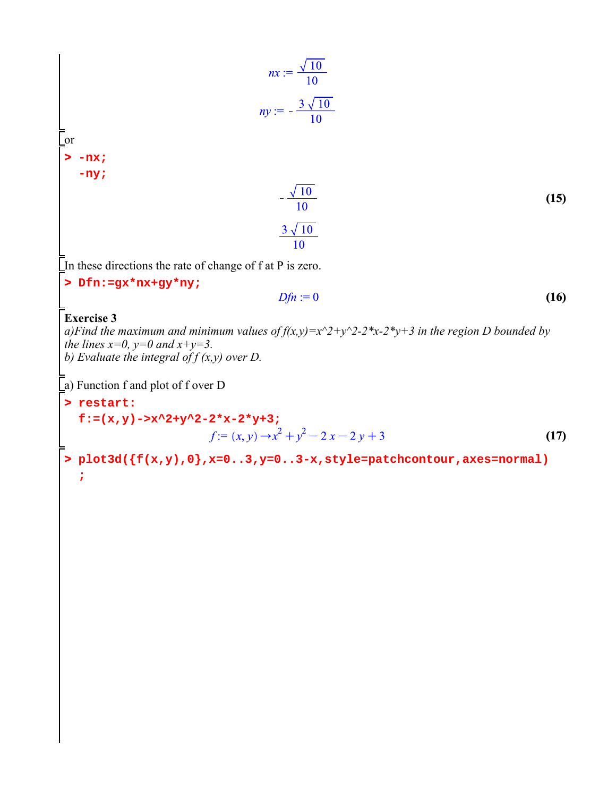$$
nx := \frac{\sqrt{10}}{10}
$$
  
\n
$$
ny := -\frac{3\sqrt{10}}{10}
$$
  
\nFor  
\n $x_1$   
\n $-n\mathbf{x}$ ;  
\n $-n\mathbf{x}$ ;  
\n $-n\mathbf{x}$ ;  
\n $\frac{\sqrt{10}}{10}$  (15)  
\nIn these directions the rate of change of f at P is zero.  
\n $\Rightarrow \mathbf{Dfn} := g\mathbf{x}^* n\mathbf{x} + g\mathbf{y}^* n\mathbf{y}$ ;  
\n $Di_n := 0$  (16)  
\nExercise 3  
\n $\Rightarrow \mathbf{Dfn} := g\mathbf{x}^* n\mathbf{x} + g\mathbf{y}^* n\mathbf{y}$ ;  
\n $Di_n := 0$  (16)  
\nExercise 4  
\n $\therefore$   $\mathbf{Dfn} := 0$  (16)  
\n $\text{therefore} \mathbf{Dm}$  and  $\mathbf{Ddm}$  will be  $\mathbf{Ddm}$  and  $\mathbf{Ddm}$  is the region D bounded by  
\nthe lines  $x=0$ ,  $y=0$  and  $x+y=3$ .  
\n $\therefore$   $\mathbf{Ddm}$  is the integral of  $f(x, y)$  over D.  
\n $\Rightarrow$   $\mathbf{Ddm}$  is the integral of  $f(x, y)$  over D.  
\n $\Rightarrow$   $\mathbf{Ddm}$  is the integral of  $f(x, y)$  over D.  
\n $\Rightarrow$   $\mathbf{Ddm}$  is  $(x, y) \rightarrow x^2 + y^2 - 2x - 2y + 3$  (17)  
\n $\Rightarrow$   $\mathbf{D} \text{total}(\{\mathbf{f}(\mathbf{x}, \mathbf{y}), \mathbf{z} = 0...3, \mathbf{y} = 0...3 - \mathbf{x}, \mathbf{g} \text{t} \text{y} = -\mathbf{p} \text{at} \text{ch} \text{cont} \text{out}, \mathbf{a} \text{x} \text{es} = \text{normal}$ )  
\n $\Rightarrow$   $\mathbf{D} \text{total}(\{\mathbf{f}(\mathbf{x}, \math$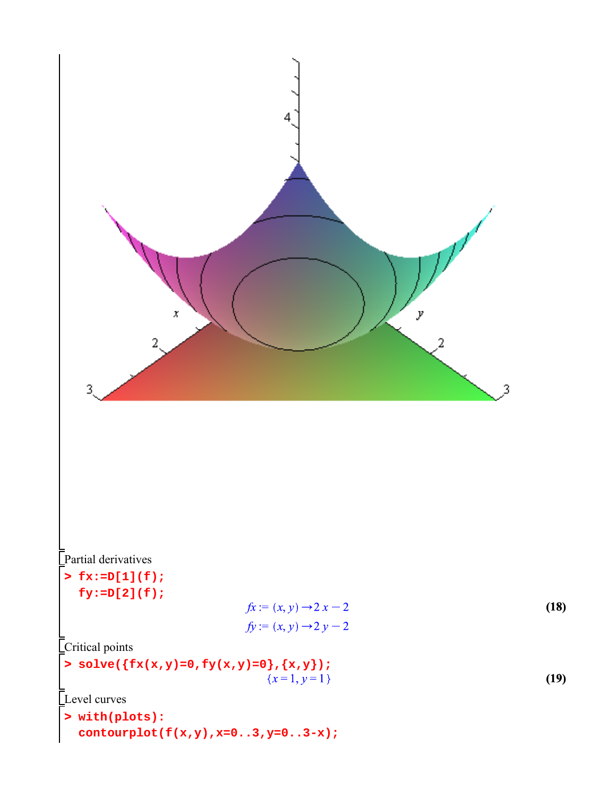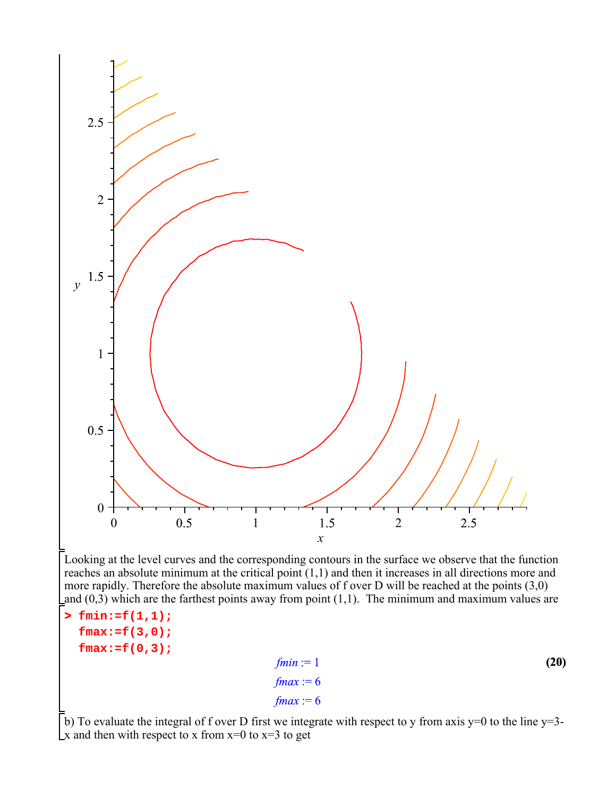

b) To evaluate the integral of f over D first we integrate with respect to y from axis  $y=0$  to the line  $y=3$ - $\Box x$  and then with respect to x from  $x=0$  to  $x=3$  to get